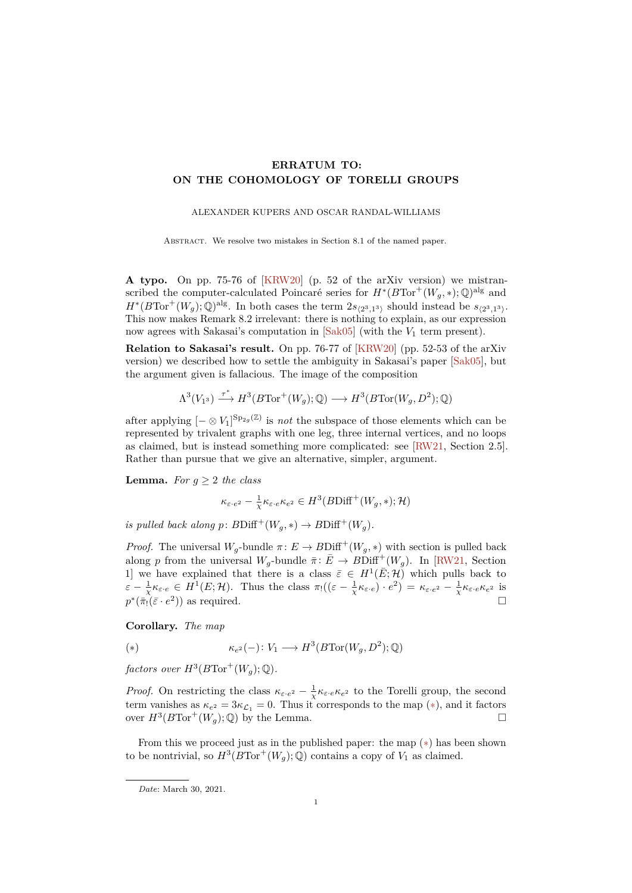## <span id="page-0-1"></span>**ERRATUM TO: ON THE COHOMOLOGY OF TORELLI GROUPS**

## ALEXANDER KUPERS AND OSCAR RANDAL-WILLIAMS

ABSTRACT. We resolve two mistakes in Section 8.1 of the named paper.

**A typo.** On pp. 75-76 of [\[KRW20\]](#page-1-0) (p. 52 of the arXiv version) we mistranscribed the computer-calculated Poincaré series for  $H^*(B\text{Tor}^+(W_g, *); \mathbb{Q})^{\text{alg}}$  and  $H^*(B\text{Tor}^+(W_g); \mathbb{Q})^{\text{alg}}$ . In both cases the term  $2s_{\langle 2^3,1^3\rangle}$  should instead be  $s_{\langle 2^3,1^3\rangle}$ . This now makes Remark 8.2 irrelevant: there is nothing to explain, as our expression now agrees with Sakasai's computation in  $[Sak05]$  (with the  $V_1$  term present).

**Relation to Sakasai's result.** On pp. 76-77 of [\[KRW20\]](#page-1-0) (pp. 52-53 of the arXiv version) we described how to settle the ambiguity in Sakasai's paper [\[Sak05\]](#page-1-1), but the argument given is fallacious. The image of the composition

$$
\Lambda^3(V_{1^3}) \stackrel{\tau^*}{\longrightarrow} H^3(B\text{Tor}^+(W_g);\mathbb{Q}) \longrightarrow H^3(B\text{Tor}(W_g,D^2);\mathbb{Q})
$$

after applying  $[- \otimes V_1]^{Sp_{2g}(\mathbb{Z})}$  is *not* the subspace of those elements which can be represented by trivalent graphs with one leg, three internal vertices, and no loops as claimed, but is instead something more complicated: see [\[RW21,](#page-1-2) Section 2.5]. Rather than pursue that we give an alternative, simpler, argument.

**Lemma.** *For*  $g \geq 2$  *the class* 

$$
\kappa_{\varepsilon \cdot e^2} - \frac{1}{\chi} \kappa_{\varepsilon \cdot e} \kappa_{e^2} \in H^3(B\mathrm{Diff}^+(W_g,*); \mathcal{H})
$$

*is pulled back along*  $p: BDiff^+(W_g, *) \to BDiff^+(W_g)$ .

*Proof.* The universal  $W_g$ -bundle  $\pi: E \to B\text{Diff}^+(W_g, *)$  with section is pulled back along *p* from the universal  $W_g$ -bundle  $\bar{\pi}$ :  $\bar{E} \rightarrow BDiff^+(W_g)$ . In [\[RW21,](#page-1-2) Section 1] we have explained that there is a class  $\bar{\varepsilon} \in H^1(\bar{E}; \mathcal{H})$  which pulls back to  $\varepsilon - \frac{1}{\chi} \kappa_{\varepsilon \cdot e} \in H^1(E; \mathcal{H})$ . Thus the class  $\pi_!((\varepsilon - \frac{1}{\chi} \kappa_{\varepsilon \cdot e}) \cdot e^2) = \kappa_{\varepsilon \cdot e^2} - \frac{1}{\chi} \kappa_{\varepsilon \cdot e} \kappa_{e^2}$  is  $p^*(\bar{\pi}_! (\bar{\varepsilon} \cdot e^2))$  as required.

**Corollary.** *The map*

<span id="page-0-0"></span>(\*) 
$$
\kappa_{e^2}(-) \colon V_1 \longrightarrow H^3(B\text{Tor}(W_g, D^2); \mathbb{Q})
$$

 $factors\ over\ H^3(B\text{Tor}^+(W_g); \mathbb{Q})$ .

*Proof.* On restricting the class  $\kappa_{\varepsilon \cdot e^2} - \frac{1}{\chi} \kappa_{\varepsilon \cdot e} \kappa_{e^2}$  to the Torelli group, the second term vanishes as  $\kappa_{e^2} = 3\kappa_{\mathcal{L}_1} = 0$ . Thus it corresponds to the map (\*), and it factors over  $H^3(B\text{Tor}^+(W_g); \mathbb{Q})$  by the Lemma.

From this we proceed just as in the published paper: the map  $(*)$  has been shown to be nontrivial, so  $H^3(BTor^+(W_g); \overline{\mathbb{Q}})$  contains a copy of  $V_1$  as claimed.

*Date*: March 30, 2021.